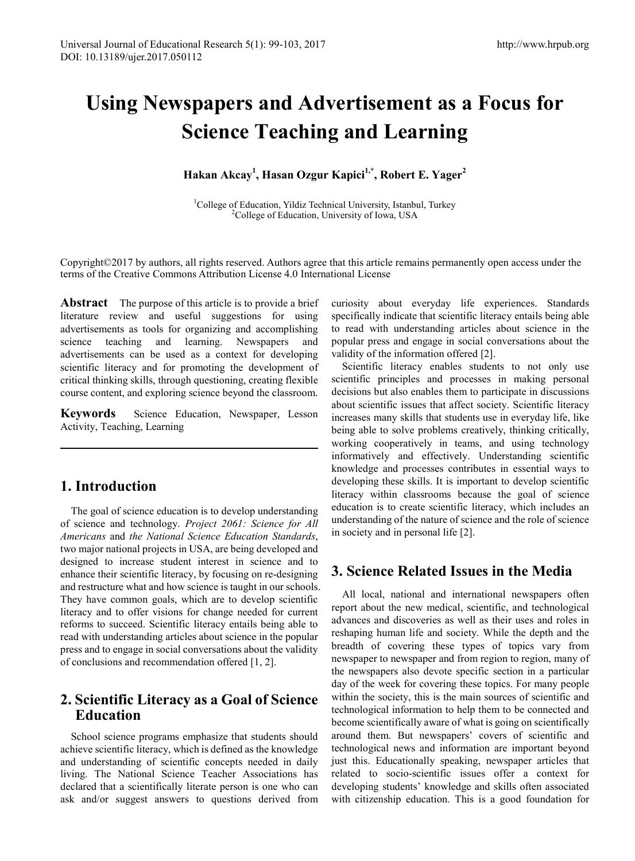# **Using Newspapers and Advertisement as a Focus for Science Teaching and Learning**

**Hakan Akcay<sup>1</sup> , Hasan Ozgur Kapici1,\*, Robert E. Yager2** 

<sup>1</sup>College of Education, Yildiz Technical University, Istanbul, Turkey <sup>2</sup>College of Education, University of Iowa, USA

Copyright©2017 by authors, all rights reserved. Authors agree that this article remains permanently open access under the terms of the Creative Commons Attribution License 4.0 International License

**Abstract** The purpose of this article is to provide a brief literature review and useful suggestions for using advertisements as tools for organizing and accomplishing science teaching and learning. Newspapers and advertisements can be used as a context for developing scientific literacy and for promoting the development of critical thinking skills, through questioning, creating flexible course content, and exploring science beyond the classroom.

**Keywords** Science Education, Newspaper, Lesson Activity, Teaching, Learning

# **1. Introduction**

The goal of science education is to develop understanding of science and technology. *Project 2061: Science for All Americans* and *the National Science Education Standards*, two major national projects in USA, are being developed and designed to increase student interest in science and to enhance their scientific literacy, by focusing on re-designing and restructure what and how science is taught in our schools. They have common goals, which are to develop scientific literacy and to offer visions for change needed for current reforms to succeed. Scientific literacy entails being able to read with understanding articles about science in the popular press and to engage in social conversations about the validity of conclusions and recommendation offered [1, 2].

# **2. Scientific Literacy as a Goal of Science Education**

School science programs emphasize that students should achieve scientific literacy, which is defined as the knowledge and understanding of scientific concepts needed in daily living. The National Science Teacher Associations has declared that a scientifically literate person is one who can ask and/or suggest answers to questions derived from

curiosity about everyday life experiences. Standards specifically indicate that scientific literacy entails being able to read with understanding articles about science in the popular press and engage in social conversations about the validity of the information offered [2].

Scientific literacy enables students to not only use scientific principles and processes in making personal decisions but also enables them to participate in discussions about scientific issues that affect society. Scientific literacy increases many skills that students use in everyday life, like being able to solve problems creatively, thinking critically, working cooperatively in teams, and using technology informatively and effectively. Understanding scientific knowledge and processes contributes in essential ways to developing these skills. It is important to develop scientific literacy within classrooms because the goal of science education is to create scientific literacy, which includes an understanding of the nature of science and the role of science in society and in personal life [2].

# **3. Science Related Issues in the Media**

All local, national and international newspapers often report about the new medical, scientific, and technological advances and discoveries as well as their uses and roles in reshaping human life and society. While the depth and the breadth of covering these types of topics vary from newspaper to newspaper and from region to region, many of the newspapers also devote specific section in a particular day of the week for covering these topics. For many people within the society, this is the main sources of scientific and technological information to help them to be connected and become scientifically aware of what is going on scientifically around them. But newspapers' covers of scientific and technological news and information are important beyond just this. Educationally speaking, newspaper articles that related to socio-scientific issues offer a context for developing students' knowledge and skills often associated with citizenship education. This is a good foundation for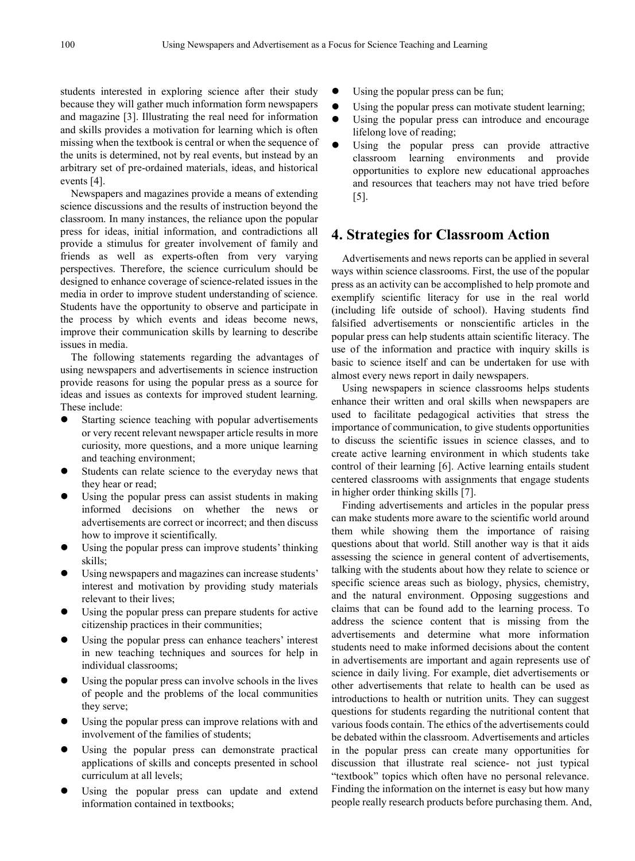students interested in exploring science after their study because they will gather much information form newspapers and magazine [3]. Illustrating the real need for information and skills provides a motivation for learning which is often missing when the textbook is central or when the sequence of the units is determined, not by real events, but instead by an arbitrary set of pre-ordained materials, ideas, and historical events [4].

Newspapers and magazines provide a means of extending science discussions and the results of instruction beyond the classroom. In many instances, the reliance upon the popular press for ideas, initial information, and contradictions all provide a stimulus for greater involvement of family and friends as well as experts-often from very varying perspectives. Therefore, the science curriculum should be designed to enhance coverage of science-related issues in the media in order to improve student understanding of science. Students have the opportunity to observe and participate in the process by which events and ideas become news, improve their communication skills by learning to describe issues in media.

The following statements regarding the advantages of using newspapers and advertisements in science instruction provide reasons for using the popular press as a source for ideas and issues as contexts for improved student learning. These include:

- Starting science teaching with popular advertisements or very recent relevant newspaper article results in more curiosity, more questions, and a more unique learning and teaching environment;
- Students can relate science to the everyday news that they hear or read;
- Using the popular press can assist students in making informed decisions on whether the news or advertisements are correct or incorrect; and then discuss how to improve it scientifically.
- Using the popular press can improve students' thinking skills;
- Using newspapers and magazines can increase students' interest and motivation by providing study materials relevant to their lives;
- Using the popular press can prepare students for active citizenship practices in their communities;
- Using the popular press can enhance teachers' interest in new teaching techniques and sources for help in individual classrooms;
- Using the popular press can involve schools in the lives of people and the problems of the local communities they serve;
- Using the popular press can improve relations with and involvement of the families of students;
- Using the popular press can demonstrate practical applications of skills and concepts presented in school curriculum at all levels;
- Using the popular press can update and extend information contained in textbooks;
- Using the popular press can be fun;
- Using the popular press can motivate student learning;
- Using the popular press can introduce and encourage lifelong love of reading;
- Using the popular press can provide attractive classroom learning environments and provide opportunities to explore new educational approaches and resources that teachers may not have tried before [5].

## **4. Strategies for Classroom Action**

Advertisements and news reports can be applied in several ways within science classrooms. First, the use of the popular press as an activity can be accomplished to help promote and exemplify scientific literacy for use in the real world (including life outside of school). Having students find falsified advertisements or nonscientific articles in the popular press can help students attain scientific literacy. The use of the information and practice with inquiry skills is basic to science itself and can be undertaken for use with almost every news report in daily newspapers.

Using newspapers in science classrooms helps students enhance their written and oral skills when newspapers are used to facilitate pedagogical activities that stress the importance of communication, to give students opportunities to discuss the scientific issues in science classes, and to create active learning environment in which students take control of their learning [6]. Active learning entails student centered classrooms with assignments that engage students in higher order thinking skills [7].

Finding advertisements and articles in the popular press can make students more aware to the scientific world around them while showing them the importance of raising questions about that world. Still another way is that it aids assessing the science in general content of advertisements, talking with the students about how they relate to science or specific science areas such as biology, physics, chemistry, and the natural environment. Opposing suggestions and claims that can be found add to the learning process. To address the science content that is missing from the advertisements and determine what more information students need to make informed decisions about the content in advertisements are important and again represents use of science in daily living. For example, diet advertisements or other advertisements that relate to health can be used as introductions to health or nutrition units. They can suggest questions for students regarding the nutritional content that various foods contain. The ethics of the advertisements could be debated within the classroom. Advertisements and articles in the popular press can create many opportunities for discussion that illustrate real science- not just typical "textbook" topics which often have no personal relevance. Finding the information on the internet is easy but how many people really research products before purchasing them. And,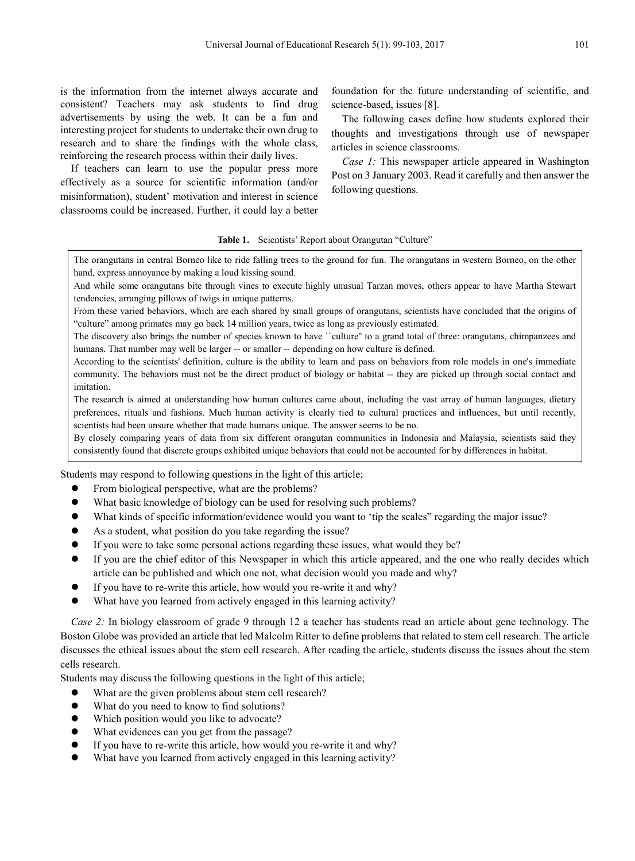is the information from the internet always accurate and consistent? Teachers may ask students to find drug advertisements by using the web. It can be a fun and interesting project for students to undertake their own drug to research and to share the findings with the whole class, reinforcing the research process within their daily lives.

If teachers can learn to use the popular press more effectively as a source for scientific information (and/or misinformation), student' motivation and interest in science classrooms could be increased. Further, it could lay a better

foundation for the future understanding of scientific, and science-based, issues [8].

The following cases define how students explored their thoughts and investigations through use of newspaper articles in science classrooms.

*Case 1:* This newspaper article appeared in Washington Post on 3 January 2003. Read it carefully and then answer the following questions.

#### Table 1. Scientists' Report about Orangutan "Culture"

The orangutans in central Borneo like to ride falling trees to the ground for fun. The orangutans in western Borneo, on the other hand, express annoyance by making a loud kissing sound.

And while some orangutans bite through vines to execute highly unusual Tarzan moves, others appear to have Martha Stewart tendencies, arranging pillows of twigs in unique patterns.

From these varied behaviors, which are each shared by small groups of orangutans, scientists have concluded that the origins of "culture" among primates may go back 14 million years, twice as long as previously estimated.

The discovery also brings the number of species known to have "culture" to a grand total of three: orangutans, chimpanzees and humans. That number may well be larger -- or smaller -- depending on how culture is defined.

According to the scientists' definition, culture is the ability to learn and pass on behaviors from role models in one's immediate community. The behaviors must not be the direct product of biology or habitat -- they are picked up through social contact and imitation.

The research is aimed at understanding how human cultures came about, including the vast array of human languages, dietary preferences, rituals and fashions. Much human activity is clearly tied to cultural practices and influences, but until recently, scientists had been unsure whether that made humans unique. The answer seems to be no.

By closely comparing years of data from six different orangutan communities in Indonesia and Malaysia, scientists said they consistently found that discrete groups exhibited unique behaviors that could not be accounted for by differences in habitat.

Students may respond to following questions in the light of this article;

- From biological perspective, what are the problems?
- What basic knowledge of biology can be used for resolving such problems?
- What kinds of specific information/evidence would you want to 'tip the scales' regarding the major issue?
- As a student, what position do you take regarding the issue?
- If you were to take some personal actions regarding these issues, what would they be?
- If you are the chief editor of this Newspaper in which this article appeared, and the one who really decides which article can be published and which one not, what decision would you made and why?
- If you have to re-write this article, how would you re-write it and why?
- What have you learned from actively engaged in this learning activity?

*Case 2:* In biology classroom of grade 9 through 12 a teacher has students read an article about gene technology. The Boston Globe was provided an article that led Malcolm Ritter to define problems that related to stem cell research. The article discusses the ethical issues about the stem cell research. After reading the article, students discuss the issues about the stem cells research.

Students may discuss the following questions in the light of this article;

- What are the given problems about stem cell research?
- What do you need to know to find solutions?
- Which position would you like to advocate?
- What evidences can you get from the passage?
- If you have to re-write this article, how would you re-write it and why?
- What have you learned from actively engaged in this learning activity?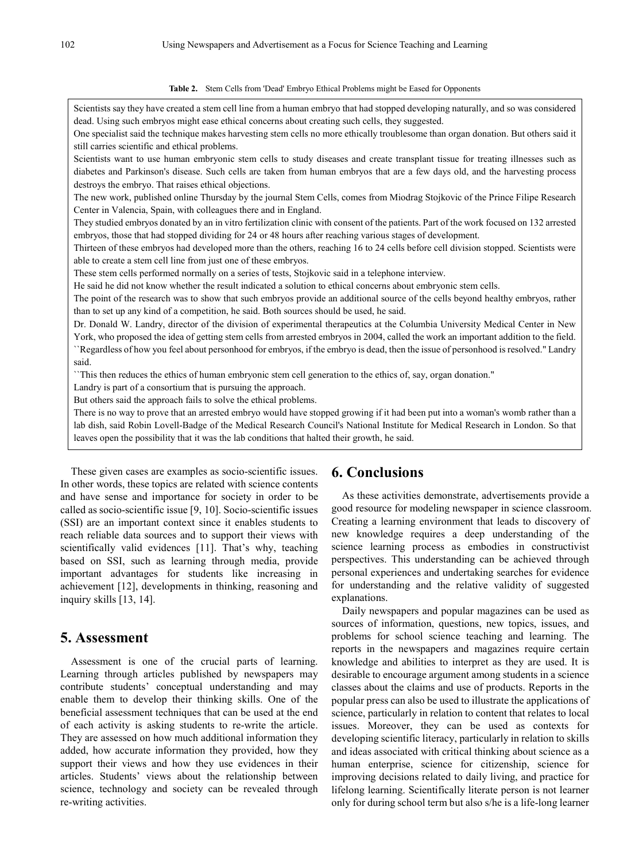#### **Table 2.** Stem Cells from 'Dead' Embryo Ethical Problems might be Eased for Opponents

Scientists say they have created a stem cell line from a human embryo that had stopped developing naturally, and so was considered dead. Using such embryos might ease ethical concerns about creating such cells, they suggested.

One specialist said the technique makes harvesting stem cells no more ethically troublesome than organ donation. But others said it still carries scientific and ethical problems.

Scientists want to use human embryonic stem cells to study diseases and create transplant tissue for treating illnesses such as diabetes and Parkinson's disease. Such cells are taken from human embryos that are a few days old, and the harvesting process destroys the embryo. That raises ethical objections.

The new work, published online Thursday by the journal Stem Cells, comes from Miodrag Stojkovic of the Prince Filipe Research Center in Valencia, Spain, with colleagues there and in England.

They studied embryos donated by an in vitro fertilization clinic with consent of the patients. Part of the work focused on 132 arrested embryos, those that had stopped dividing for 24 or 48 hours after reaching various stages of development.

Thirteen of these embryos had developed more than the others, reaching 16 to 24 cells before cell division stopped. Scientists were able to create a stem cell line from just one of these embryos.

These stem cells performed normally on a series of tests, Stojkovic said in a telephone interview.

He said he did not know whether the result indicated a solution to ethical concerns about embryonic stem cells.

The point of the research was to show that such embryos provide an additional source of the cells beyond healthy embryos, rather than to set up any kind of a competition, he said. Both sources should be used, he said.

Dr. Donald W. Landry, director of the division of experimental therapeutics at the Columbia University Medical Center in New York, who proposed the idea of getting stem cells from arrested embryos in 2004, called the work an important addition to the field. ``Regardless of how you feel about personhood for embryos, if the embryo is dead, then the issue of personhood is resolved." Landry said.

``This then reduces the ethics of human embryonic stem cell generation to the ethics of, say, organ donation."

Landry is part of a consortium that is pursuing the approach.

But others said the approach fails to solve the ethical problems.

There is no way to prove that an arrested embryo would have stopped growing if it had been put into a woman's womb rather than a lab dish, said Robin Lovell-Badge of the Medical Research Council's National Institute for Medical Research in London. So that leaves open the possibility that it was the lab conditions that halted their growth, he said.

These given cases are examples as socio-scientific issues. In other words, these topics are related with science contents and have sense and importance for society in order to be called as socio-scientific issue [9, 10]. Socio-scientific issues (SSI) are an important context since it enables students to reach reliable data sources and to support their views with scientifically valid evidences [11]. That's why, teaching based on SSI, such as learning through media, provide important advantages for students like increasing in achievement [12], developments in thinking, reasoning and inquiry skills [13, 14].

### **5. Assessment**

Assessment is one of the crucial parts of learning. Learning through articles published by newspapers may contribute students' conceptual understanding and may enable them to develop their thinking skills. One of the beneficial assessment techniques that can be used at the end of each activity is asking students to re-write the article. They are assessed on how much additional information they added, how accurate information they provided, how they support their views and how they use evidences in their articles. Students' views about the relationship between science, technology and society can be revealed through re-writing activities.

### **6. Conclusions**

As these activities demonstrate, advertisements provide a good resource for modeling newspaper in science classroom. Creating a learning environment that leads to discovery of new knowledge requires a deep understanding of the science learning process as embodies in constructivist perspectives. This understanding can be achieved through personal experiences and undertaking searches for evidence for understanding and the relative validity of suggested explanations.

Daily newspapers and popular magazines can be used as sources of information, questions, new topics, issues, and problems for school science teaching and learning. The reports in the newspapers and magazines require certain knowledge and abilities to interpret as they are used. It is desirable to encourage argument among students in a science classes about the claims and use of products. Reports in the popular press can also be used to illustrate the applications of science, particularly in relation to content that relates to local issues. Moreover, they can be used as contexts for developing scientific literacy, particularly in relation to skills and ideas associated with critical thinking about science as a human enterprise, science for citizenship, science for improving decisions related to daily living, and practice for lifelong learning. Scientifically literate person is not learner only for during school term but also s/he is a life-long learner